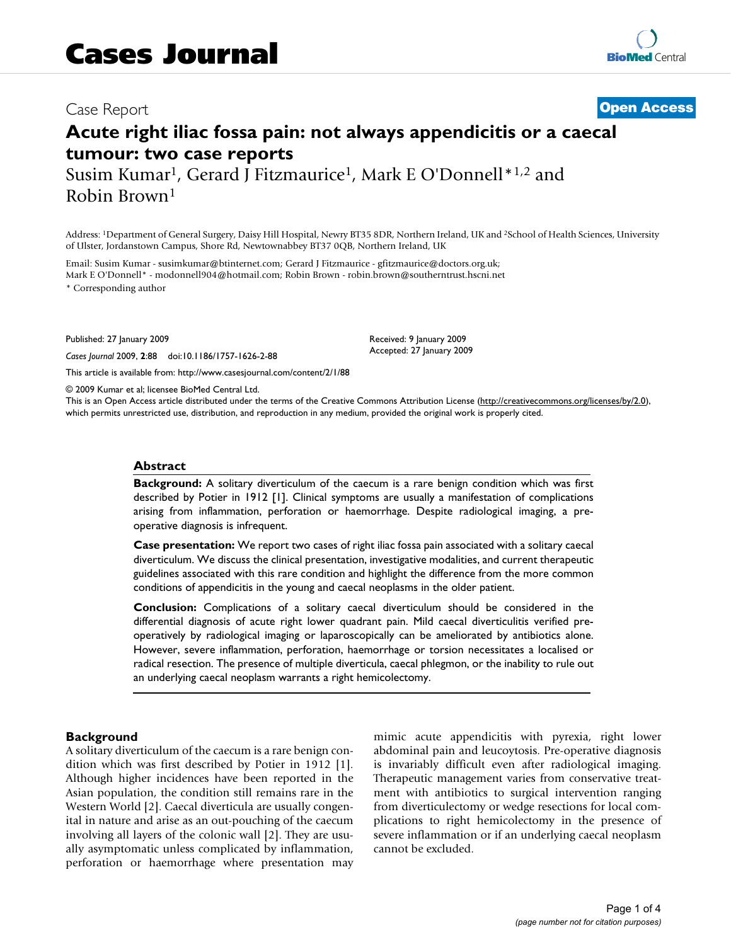## Case Report **[Open Access](http://www.biomedcentral.com/info/about/charter/)**

# **Acute right iliac fossa pain: not always appendicitis or a caecal tumour: two case reports**

Susim Kumar<sup>1</sup>, Gerard J Fitzmaurice<sup>1</sup>, Mark E O'Donnell<sup>\*1,2</sup> and Robin Brown1

Address: 1Department of General Surgery, Daisy Hill Hospital, Newry BT35 8DR, Northern Ireland, UK and 2School of Health Sciences, University of Ulster, Jordanstown Campus, Shore Rd, Newtownabbey BT37 0QB, Northern Ireland, UK

Email: Susim Kumar - susimkumar@btinternet.com; Gerard J Fitzmaurice - gfitzmaurice@doctors.org.uk; Mark E O'Donnell\* - modonnell904@hotmail.com; Robin Brown - robin.brown@southerntrust.hscni.net \* Corresponding author

Published: 27 January 2009

*Cases Journal* 2009, **2**:88 doi:10.1186/1757-1626-2-88

[This article is available from: http://www.casesjournal.com/content/2/1/88](http://www.casesjournal.com/content/2/1/88)

© 2009 Kumar et al; licensee BioMed Central Ltd.

This is an Open Access article distributed under the terms of the Creative Commons Attribution License [\(http://creativecommons.org/licenses/by/2.0\)](http://creativecommons.org/licenses/by/2.0), which permits unrestricted use, distribution, and reproduction in any medium, provided the original work is properly cited.

Received: 9 January 2009 Accepted: 27 January 2009

#### **Abstract**

**Background:** A solitary diverticulum of the caecum is a rare benign condition which was first described by Potier in 1912 [1]. Clinical symptoms are usually a manifestation of complications arising from inflammation, perforation or haemorrhage. Despite radiological imaging, a preoperative diagnosis is infrequent.

**Case presentation:** We report two cases of right iliac fossa pain associated with a solitary caecal diverticulum. We discuss the clinical presentation, investigative modalities, and current therapeutic guidelines associated with this rare condition and highlight the difference from the more common conditions of appendicitis in the young and caecal neoplasms in the older patient.

**Conclusion:** Complications of a solitary caecal diverticulum should be considered in the differential diagnosis of acute right lower quadrant pain. Mild caecal diverticulitis verified preoperatively by radiological imaging or laparoscopically can be ameliorated by antibiotics alone. However, severe inflammation, perforation, haemorrhage or torsion necessitates a localised or radical resection. The presence of multiple diverticula, caecal phlegmon, or the inability to rule out an underlying caecal neoplasm warrants a right hemicolectomy.

#### **Background**

A solitary diverticulum of the caecum is a rare benign condition which was first described by Potier in 1912 [1]. Although higher incidences have been reported in the Asian population, the condition still remains rare in the Western World [2]. Caecal diverticula are usually congenital in nature and arise as an out-pouching of the caecum involving all layers of the colonic wall [2]. They are usually asymptomatic unless complicated by inflammation, perforation or haemorrhage where presentation may mimic acute appendicitis with pyrexia, right lower abdominal pain and leucoytosis. Pre-operative diagnosis is invariably difficult even after radiological imaging. Therapeutic management varies from conservative treatment with antibiotics to surgical intervention ranging from diverticulectomy or wedge resections for local complications to right hemicolectomy in the presence of severe inflammation or if an underlying caecal neoplasm cannot be excluded.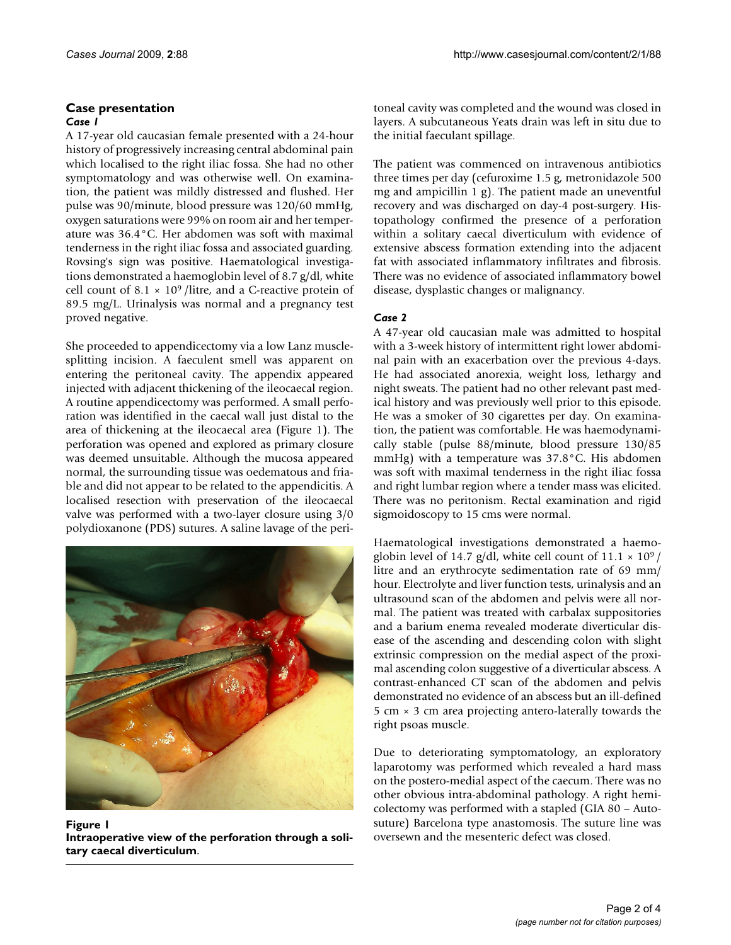## **Case presentation**

#### *Case 1*

A 17-year old caucasian female presented with a 24-hour history of progressively increasing central abdominal pain which localised to the right iliac fossa. She had no other symptomatology and was otherwise well. On examination, the patient was mildly distressed and flushed. Her pulse was 90/minute, blood pressure was 120/60 mmHg, oxygen saturations were 99% on room air and her temperature was 36.4°C. Her abdomen was soft with maximal tenderness in the right iliac fossa and associated guarding. Rovsing's sign was positive. Haematological investigations demonstrated a haemoglobin level of 8.7 g/dl, white cell count of  $8.1 \times 10^9$  /litre, and a C-reactive protein of 89.5 mg/L. Urinalysis was normal and a pregnancy test proved negative.

She proceeded to appendicectomy via a low Lanz musclesplitting incision. A faeculent smell was apparent on entering the peritoneal cavity. The appendix appeared injected with adjacent thickening of the ileocaecal region. A routine appendicectomy was performed. A small perforation was identified in the caecal wall just distal to the area of thickening at the ileocaecal area (Figure 1). The perforation was opened and explored as primary closure was deemed unsuitable. Although the mucosa appeared normal, the surrounding tissue was oedematous and friable and did not appear to be related to the appendicitis. A localised resection with preservation of the ileocaecal valve was performed with a two-layer closure using 3/0 polydioxanone (PDS) sutures. A saline lavage of the peri-



Figure 1 **Intraoperative view of the perforation through a solitary caecal diverticulum**.

toneal cavity was completed and the wound was closed in layers. A subcutaneous Yeats drain was left in situ due to the initial faeculant spillage.

The patient was commenced on intravenous antibiotics three times per day (cefuroxime 1.5 g, metronidazole 500 mg and ampicillin 1 g). The patient made an uneventful recovery and was discharged on day-4 post-surgery. Histopathology confirmed the presence of a perforation within a solitary caecal diverticulum with evidence of extensive abscess formation extending into the adjacent fat with associated inflammatory infiltrates and fibrosis. There was no evidence of associated inflammatory bowel disease, dysplastic changes or malignancy.

## *Case 2*

A 47-year old caucasian male was admitted to hospital with a 3-week history of intermittent right lower abdominal pain with an exacerbation over the previous 4-days. He had associated anorexia, weight loss, lethargy and night sweats. The patient had no other relevant past medical history and was previously well prior to this episode. He was a smoker of 30 cigarettes per day. On examination, the patient was comfortable. He was haemodynamically stable (pulse 88/minute, blood pressure 130/85 mmHg) with a temperature was 37.8°C. His abdomen was soft with maximal tenderness in the right iliac fossa and right lumbar region where a tender mass was elicited. There was no peritonism. Rectal examination and rigid sigmoidoscopy to 15 cms were normal.

Haematological investigations demonstrated a haemoglobin level of 14.7 g/dl, white cell count of  $11.1 \times 10^9$  / litre and an erythrocyte sedimentation rate of 69 mm/ hour. Electrolyte and liver function tests, urinalysis and an ultrasound scan of the abdomen and pelvis were all normal. The patient was treated with carbalax suppositories and a barium enema revealed moderate diverticular disease of the ascending and descending colon with slight extrinsic compression on the medial aspect of the proximal ascending colon suggestive of a diverticular abscess. A contrast-enhanced CT scan of the abdomen and pelvis demonstrated no evidence of an abscess but an ill-defined 5 cm  $\times$  3 cm area projecting antero-laterally towards the right psoas muscle.

Due to deteriorating symptomatology, an exploratory laparotomy was performed which revealed a hard mass on the postero-medial aspect of the caecum. There was no other obvious intra-abdominal pathology. A right hemicolectomy was performed with a stapled (GIA 80 – Autosuture) Barcelona type anastomosis. The suture line was oversewn and the mesenteric defect was closed.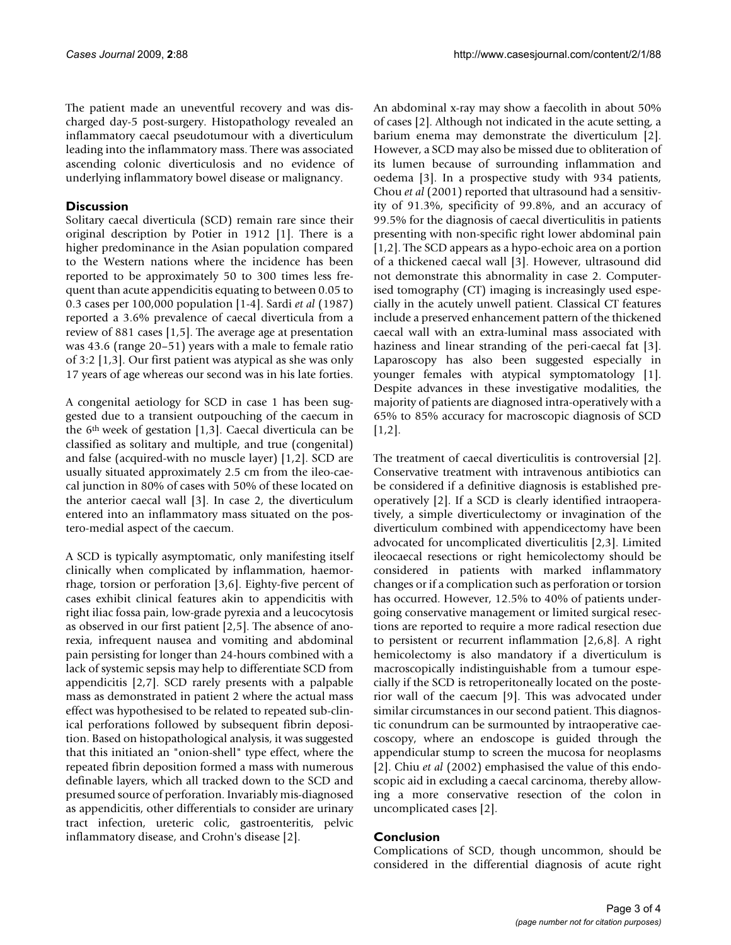The patient made an uneventful recovery and was discharged day-5 post-surgery. Histopathology revealed an inflammatory caecal pseudotumour with a diverticulum leading into the inflammatory mass. There was associated ascending colonic diverticulosis and no evidence of underlying inflammatory bowel disease or malignancy.

## **Discussion**

Solitary caecal diverticula (SCD) remain rare since their original description by Potier in 1912 [1]. There is a higher predominance in the Asian population compared to the Western nations where the incidence has been reported to be approximately 50 to 300 times less frequent than acute appendicitis equating to between 0.05 to 0.3 cases per 100,000 population [1-4]. Sardi *et al* (1987) reported a 3.6% prevalence of caecal diverticula from a review of 881 cases [1,5]. The average age at presentation was 43.6 (range 20–51) years with a male to female ratio of 3:2 [1,3]. Our first patient was atypical as she was only 17 years of age whereas our second was in his late forties.

A congenital aetiology for SCD in case 1 has been suggested due to a transient outpouching of the caecum in the 6th week of gestation [1,3]. Caecal diverticula can be classified as solitary and multiple, and true (congenital) and false (acquired-with no muscle layer) [1,2]. SCD are usually situated approximately 2.5 cm from the ileo-caecal junction in 80% of cases with 50% of these located on the anterior caecal wall [3]. In case 2, the diverticulum entered into an inflammatory mass situated on the postero-medial aspect of the caecum.

A SCD is typically asymptomatic, only manifesting itself clinically when complicated by inflammation, haemorrhage, torsion or perforation [3,6]. Eighty-five percent of cases exhibit clinical features akin to appendicitis with right iliac fossa pain, low-grade pyrexia and a leucocytosis as observed in our first patient [2,5]. The absence of anorexia, infrequent nausea and vomiting and abdominal pain persisting for longer than 24-hours combined with a lack of systemic sepsis may help to differentiate SCD from appendicitis [2,7]. SCD rarely presents with a palpable mass as demonstrated in patient 2 where the actual mass effect was hypothesised to be related to repeated sub-clinical perforations followed by subsequent fibrin deposition. Based on histopathological analysis, it was suggested that this initiated an "onion-shell" type effect, where the repeated fibrin deposition formed a mass with numerous definable layers, which all tracked down to the SCD and presumed source of perforation. Invariably mis-diagnosed as appendicitis, other differentials to consider are urinary tract infection, ureteric colic, gastroenteritis, pelvic inflammatory disease, and Crohn's disease [2].

An abdominal x-ray may show a faecolith in about 50% of cases [2]. Although not indicated in the acute setting, a barium enema may demonstrate the diverticulum [2]. However, a SCD may also be missed due to obliteration of its lumen because of surrounding inflammation and oedema [3]. In a prospective study with 934 patients, Chou et al (2001) reported that ultrasound had a sensitivity of 91.3%, specificity of 99.8%, and an accuracy of 99.5% for the diagnosis of caecal diverticulitis in patients presenting with non-specific right lower abdominal pain [1,2]. The SCD appears as a hypo-echoic area on a portion of a thickened caecal wall [3]. However, ultrasound did not demonstrate this abnormality in case 2. Computerised tomography (CT) imaging is increasingly used especially in the acutely unwell patient. Classical CT features include a preserved enhancement pattern of the thickened caecal wall with an extra-luminal mass associated with haziness and linear stranding of the peri-caecal fat [3]. Laparoscopy has also been suggested especially in younger females with atypical symptomatology [1]. Despite advances in these investigative modalities, the majority of patients are diagnosed intra-operatively with a 65% to 85% accuracy for macroscopic diagnosis of SCD [1,2].

The treatment of caecal diverticulitis is controversial [2]. Conservative treatment with intravenous antibiotics can be considered if a definitive diagnosis is established preoperatively [2]. If a SCD is clearly identified intraoperatively, a simple diverticulectomy or invagination of the diverticulum combined with appendicectomy have been advocated for uncomplicated diverticulitis [2,3]. Limited ileocaecal resections or right hemicolectomy should be considered in patients with marked inflammatory changes or if a complication such as perforation or torsion has occurred. However, 12.5% to 40% of patients undergoing conservative management or limited surgical resections are reported to require a more radical resection due to persistent or recurrent inflammation [2,6,8]. A right hemicolectomy is also mandatory if a diverticulum is macroscopically indistinguishable from a tumour especially if the SCD is retroperitoneally located on the posterior wall of the caecum [9]. This was advocated under similar circumstances in our second patient. This diagnostic conundrum can be surmounted by intraoperative caecoscopy, where an endoscope is guided through the appendicular stump to screen the mucosa for neoplasms [2]. Chiu *et al* (2002) emphasised the value of this endoscopic aid in excluding a caecal carcinoma, thereby allowing a more conservative resection of the colon in uncomplicated cases [2].

## **Conclusion**

Complications of SCD, though uncommon, should be considered in the differential diagnosis of acute right